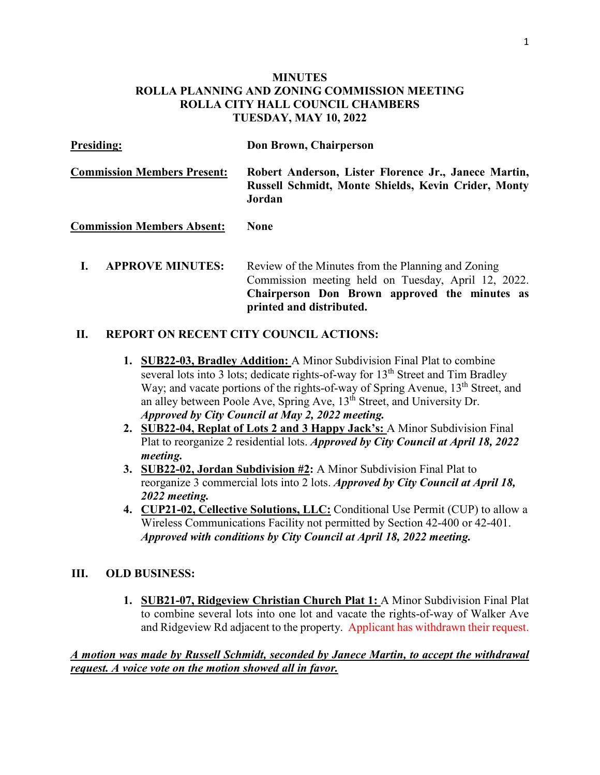## **MINUTES ROLLA PLANNING AND ZONING COMMISSION MEETING ROLLA CITY HALL COUNCIL CHAMBERS TUESDAY, MAY 10, 2022**

| <b>Presiding:</b>                  | Don Brown, Chairperson                                                                                                                                     |
|------------------------------------|------------------------------------------------------------------------------------------------------------------------------------------------------------|
| <b>Commission Members Present:</b> | Robert Anderson, Lister Florence Jr., Janece Martin,<br><b>Russell Schmidt, Monte Shields, Kevin Crider, Monty</b><br>Jordan                               |
| <b>Commission Members Absent:</b>  | None                                                                                                                                                       |
| <b>APPROVE MINUTES:</b>            | Review of the Minutes from the Planning and Zoning<br>Commission meeting held on Tuesday, April 12, 2022.<br>Chairperson Don Brown approved the minutes as |

**printed and distributed.** 

## **II. REPORT ON RECENT CITY COUNCIL ACTIONS:**

- **1. SUB22-03, Bradley Addition:** A Minor Subdivision Final Plat to combine several lots into 3 lots; dedicate rights-of-way for  $13<sup>th</sup>$  Street and Tim Bradley Way; and vacate portions of the rights-of-way of Spring Avenue, 13<sup>th</sup> Street, and an alley between Poole Ave, Spring Ave, 13th Street, and University Dr. *Approved by City Council at May 2, 2022 meeting.*
- **2. SUB22-04, Replat of Lots 2 and 3 Happy Jack's:** A Minor Subdivision Final Plat to reorganize 2 residential lots. *Approved by City Council at April 18, 2022 meeting.*
- **3. SUB22-02, Jordan Subdivision #2:** A Minor Subdivision Final Plat to reorganize 3 commercial lots into 2 lots. *Approved by City Council at April 18, 2022 meeting.*
- **4. CUP21-02, Cellective Solutions, LLC:** Conditional Use Permit (CUP) to allow a Wireless Communications Facility not permitted by Section 42-400 or 42-401. *Approved with conditions by City Council at April 18, 2022 meeting.*

#### **III. OLD BUSINESS:**

**1. SUB21-07, Ridgeview Christian Church Plat 1:** A Minor Subdivision Final Plat to combine several lots into one lot and vacate the rights-of-way of Walker Ave and Ridgeview Rd adjacent to the property. Applicant has withdrawn their request.

*A motion was made by Russell Schmidt, seconded by Janece Martin, to accept the withdrawal request. A voice vote on the motion showed all in favor.*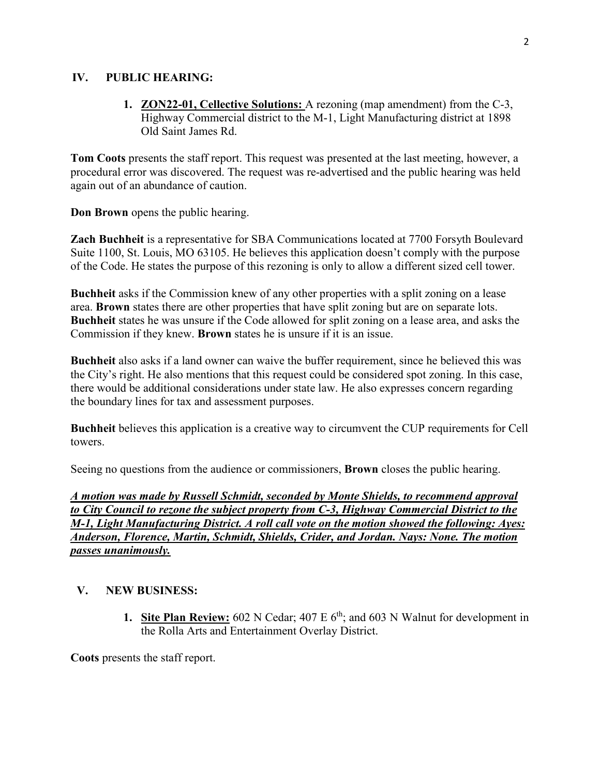### **IV. PUBLIC HEARING:**

**1. ZON22-01, Cellective Solutions:** A rezoning (map amendment) from the C-3, Highway Commercial district to the M-1, Light Manufacturing district at 1898 Old Saint James Rd.

**Tom Coots** presents the staff report. This request was presented at the last meeting, however, a procedural error was discovered. The request was re-advertised and the public hearing was held again out of an abundance of caution.

**Don Brown** opens the public hearing.

**Zach Buchheit** is a representative for SBA Communications located at 7700 Forsyth Boulevard Suite 1100, St. Louis, MO 63105. He believes this application doesn't comply with the purpose of the Code. He states the purpose of this rezoning is only to allow a different sized cell tower.

**Buchheit** asks if the Commission knew of any other properties with a split zoning on a lease area. **Brown** states there are other properties that have split zoning but are on separate lots. **Buchheit** states he was unsure if the Code allowed for split zoning on a lease area, and asks the Commission if they knew. **Brown** states he is unsure if it is an issue.

**Buchheit** also asks if a land owner can waive the buffer requirement, since he believed this was the City's right. He also mentions that this request could be considered spot zoning. In this case, there would be additional considerations under state law. He also expresses concern regarding the boundary lines for tax and assessment purposes.

**Buchheit** believes this application is a creative way to circumvent the CUP requirements for Cell towers.

Seeing no questions from the audience or commissioners, **Brown** closes the public hearing.

*A motion was made by Russell Schmidt, seconded by Monte Shields, to recommend approval to City Council to rezone the subject property from C-3, Highway Commercial District to the M-1, Light Manufacturing District. A roll call vote on the motion showed the following: Ayes: Anderson, Florence, Martin, Schmidt, Shields, Crider, and Jordan. Nays: None. The motion passes unanimously.* 

# **V. NEW BUSINESS:**

**1. Site Plan Review:** 602 N Cedar; 407 E  $6<sup>th</sup>$ ; and 603 N Walnut for development in the Rolla Arts and Entertainment Overlay District.

**Coots** presents the staff report.